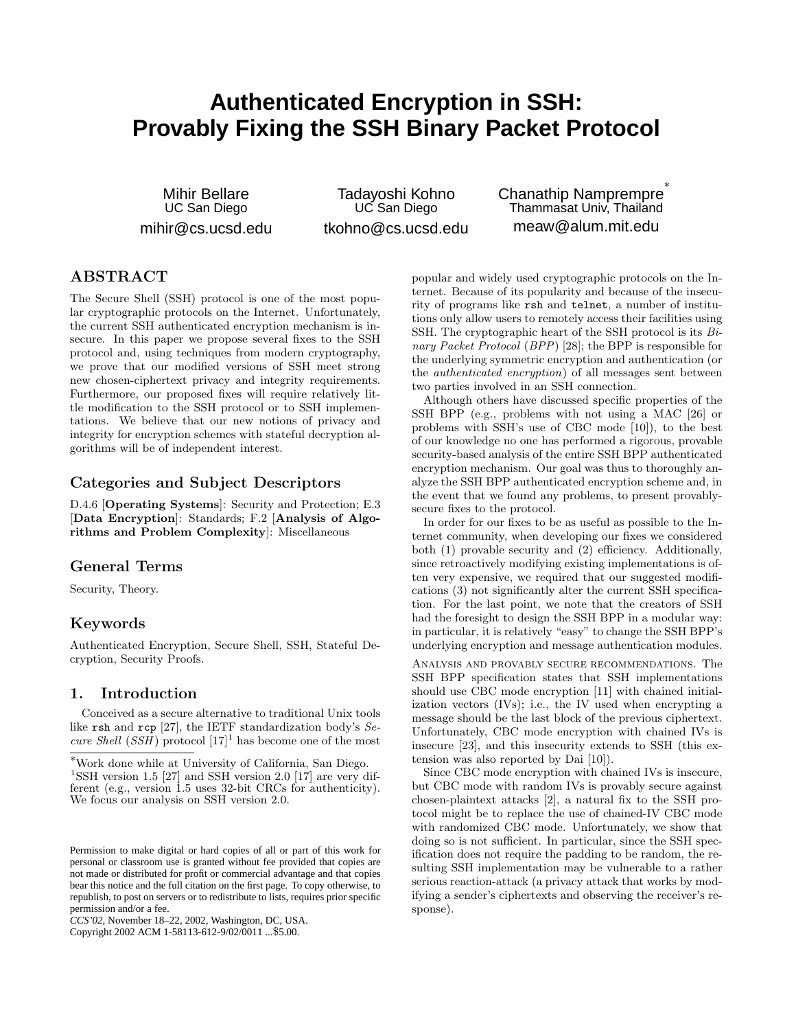# **Authenticated Encryption in SSH: Provably Fixing the SSH Binary Packet Protocol**

Mihir Bellare UC San Diego mihir@cs.ucsd.edu

Tadayoshi Kohno UC San Diego tkohno@cs.ucsd.edu Chanathip Namprempre ∗ Thammasat Univ, Thailand meaw@alum.mit.edu

# ABSTRACT

The Secure Shell (SSH) protocol is one of the most popular cryptographic protocols on the Internet. Unfortunately, the current SSH authenticated encryption mechanism is insecure. In this paper we propose several fixes to the SSH protocol and, using techniques from modern cryptography, we prove that our modified versions of SSH meet strong new chosen-ciphertext privacy and integrity requirements. Furthermore, our proposed fixes will require relatively little modification to the SSH protocol or to SSH implementations. We believe that our new notions of privacy and integrity for encryption schemes with stateful decryption algorithms will be of independent interest.

# Categories and Subject Descriptors

D.4.6 [Operating Systems]: Security and Protection; E.3 [Data Encryption]: Standards; F.2 [Analysis of Algorithms and Problem Complexity]: Miscellaneous

# General Terms

Security, Theory.

## Keywords

Authenticated Encryption, Secure Shell, SSH, Stateful Decryption, Security Proofs.

## 1. Introduction

Conceived as a secure alternative to traditional Unix tools like rsh and rcp [27], the IETF standardization body's Secure Shell (SSH) protocol  $[17]$ <sup>1</sup> has become one of the most

Copyright 2002 ACM 1-58113-612-9/02/0011 ...\$5.00.

popular and widely used cryptographic protocols on the Internet. Because of its popularity and because of the insecurity of programs like rsh and telnet, a number of institutions only allow users to remotely access their facilities using SSH. The cryptographic heart of the SSH protocol is its Binary Packet Protocol (BPP) [28]; the BPP is responsible for the underlying symmetric encryption and authentication (or the authenticated encryption) of all messages sent between two parties involved in an SSH connection.

Although others have discussed specific properties of the SSH BPP (e.g., problems with not using a MAC [26] or problems with SSH's use of CBC mode [10]), to the best of our knowledge no one has performed a rigorous, provable security-based analysis of the entire SSH BPP authenticated encryption mechanism. Our goal was thus to thoroughly analyze the SSH BPP authenticated encryption scheme and, in the event that we found any problems, to present provablysecure fixes to the protocol.

In order for our fixes to be as useful as possible to the Internet community, when developing our fixes we considered both (1) provable security and (2) efficiency. Additionally, since retroactively modifying existing implementations is often very expensive, we required that our suggested modifications (3) not significantly alter the current SSH specification. For the last point, we note that the creators of SSH had the foresight to design the SSH BPP in a modular way: in particular, it is relatively "easy" to change the SSH BPP's underlying encryption and message authentication modules.

Analysis and provably secure recommendations. The SSH BPP specification states that SSH implementations should use CBC mode encryption [11] with chained initialization vectors (IVs); i.e., the IV used when encrypting a message should be the last block of the previous ciphertext. Unfortunately, CBC mode encryption with chained IVs is insecure [23], and this insecurity extends to SSH (this extension was also reported by Dai [10]).

Since CBC mode encryption with chained IVs is insecure, but CBC mode with random IVs is provably secure against chosen-plaintext attacks [2], a natural fix to the SSH protocol might be to replace the use of chained-IV CBC mode with randomized CBC mode. Unfortunately, we show that doing so is not sufficient. In particular, since the SSH specification does not require the padding to be random, the resulting SSH implementation may be vulnerable to a rather serious reaction-attack (a privacy attack that works by modifying a sender's ciphertexts and observing the receiver's response).

<sup>∗</sup>Work done while at University of California, San Diego. <sup>1</sup>SSH version 1.5 [27] and SSH version 2.0 [17] are very different (e.g., version 1.5 uses 32-bit CRCs for authenticity). We focus our analysis on SSH version 2.0.

Permission to make digital or hard copies of all or part of this work for personal or classroom use is granted without fee provided that copies are not made or distributed for profit or commercial advantage and that copies bear this notice and the full citation on the first page. To copy otherwise, to republish, to post on servers or to redistribute to lists, requires prior specific permission and/or a fee.

*CCS'02,* November 18–22, 2002, Washington, DC, USA.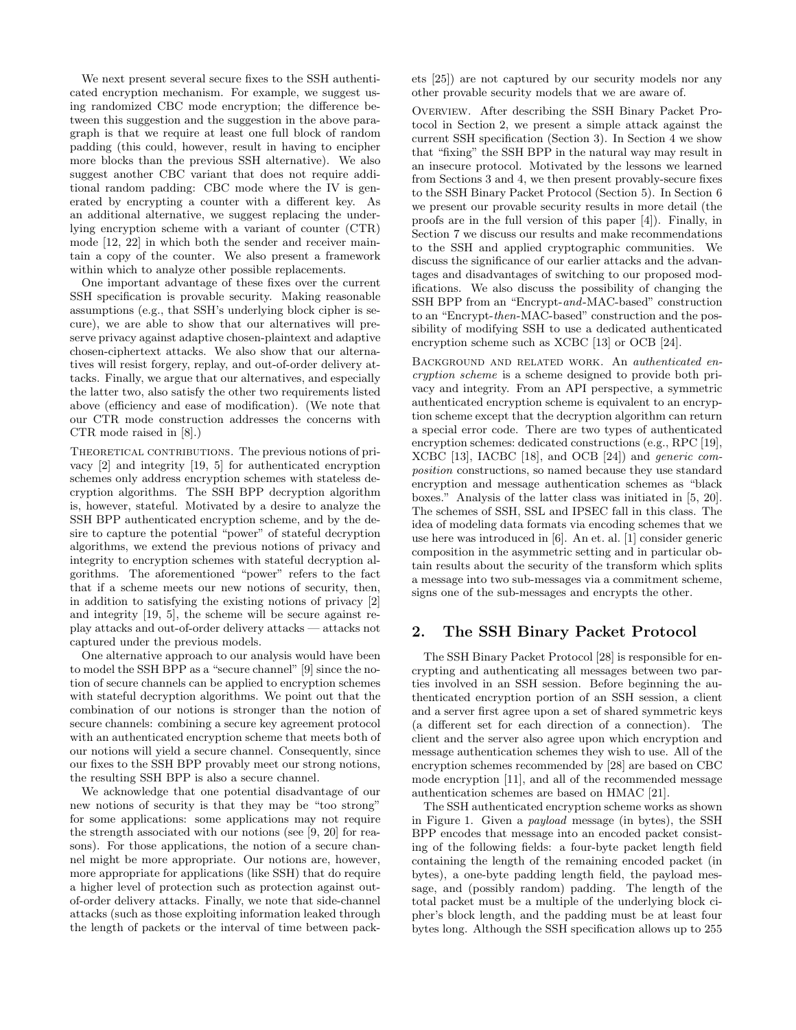We next present several secure fixes to the SSH authenticated encryption mechanism. For example, we suggest using randomized CBC mode encryption; the difference between this suggestion and the suggestion in the above paragraph is that we require at least one full block of random padding (this could, however, result in having to encipher more blocks than the previous SSH alternative). We also suggest another CBC variant that does not require additional random padding: CBC mode where the IV is generated by encrypting a counter with a different key. As an additional alternative, we suggest replacing the underlying encryption scheme with a variant of counter (CTR) mode [12, 22] in which both the sender and receiver maintain a copy of the counter. We also present a framework within which to analyze other possible replacements.

One important advantage of these fixes over the current SSH specification is provable security. Making reasonable assumptions (e.g., that SSH's underlying block cipher is secure), we are able to show that our alternatives will preserve privacy against adaptive chosen-plaintext and adaptive chosen-ciphertext attacks. We also show that our alternatives will resist forgery, replay, and out-of-order delivery attacks. Finally, we argue that our alternatives, and especially the latter two, also satisfy the other two requirements listed above (efficiency and ease of modification). (We note that our CTR mode construction addresses the concerns with CTR mode raised in [8].)

THEORETICAL CONTRIBUTIONS. The previous notions of privacy [2] and integrity [19, 5] for authenticated encryption schemes only address encryption schemes with stateless decryption algorithms. The SSH BPP decryption algorithm is, however, stateful. Motivated by a desire to analyze the SSH BPP authenticated encryption scheme, and by the desire to capture the potential "power" of stateful decryption algorithms, we extend the previous notions of privacy and integrity to encryption schemes with stateful decryption algorithms. The aforementioned "power" refers to the fact that if a scheme meets our new notions of security, then, in addition to satisfying the existing notions of privacy [2] and integrity [19, 5], the scheme will be secure against replay attacks and out-of-order delivery attacks — attacks not captured under the previous models.

One alternative approach to our analysis would have been to model the SSH BPP as a "secure channel" [9] since the notion of secure channels can be applied to encryption schemes with stateful decryption algorithms. We point out that the combination of our notions is stronger than the notion of secure channels: combining a secure key agreement protocol with an authenticated encryption scheme that meets both of our notions will yield a secure channel. Consequently, since our fixes to the SSH BPP provably meet our strong notions, the resulting SSH BPP is also a secure channel.

We acknowledge that one potential disadvantage of our new notions of security is that they may be "too strong" for some applications: some applications may not require the strength associated with our notions (see [9, 20] for reasons). For those applications, the notion of a secure channel might be more appropriate. Our notions are, however, more appropriate for applications (like SSH) that do require a higher level of protection such as protection against outof-order delivery attacks. Finally, we note that side-channel attacks (such as those exploiting information leaked through the length of packets or the interval of time between packets [25]) are not captured by our security models nor any other provable security models that we are aware of.

Overview. After describing the SSH Binary Packet Protocol in Section 2, we present a simple attack against the current SSH specification (Section 3). In Section 4 we show that "fixing" the SSH BPP in the natural way may result in an insecure protocol. Motivated by the lessons we learned from Sections 3 and 4, we then present provably-secure fixes to the SSH Binary Packet Protocol (Section 5). In Section 6 we present our provable security results in more detail (the proofs are in the full version of this paper [4]). Finally, in Section 7 we discuss our results and make recommendations to the SSH and applied cryptographic communities. We discuss the significance of our earlier attacks and the advantages and disadvantages of switching to our proposed modifications. We also discuss the possibility of changing the SSH BPP from an "Encrypt-and-MAC-based" construction to an "Encrypt-then-MAC-based" construction and the possibility of modifying SSH to use a dedicated authenticated encryption scheme such as XCBC [13] or OCB [24].

BACKGROUND AND RELATED WORK. An authenticated encryption scheme is a scheme designed to provide both privacy and integrity. From an API perspective, a symmetric authenticated encryption scheme is equivalent to an encryption scheme except that the decryption algorithm can return a special error code. There are two types of authenticated encryption schemes: dedicated constructions (e.g., RPC [19], XCBC [13], IACBC [18], and OCB [24]) and generic composition constructions, so named because they use standard encryption and message authentication schemes as "black boxes." Analysis of the latter class was initiated in [5, 20]. The schemes of SSH, SSL and IPSEC fall in this class. The idea of modeling data formats via encoding schemes that we use here was introduced in [6]. An et. al. [1] consider generic composition in the asymmetric setting and in particular obtain results about the security of the transform which splits a message into two sub-messages via a commitment scheme, signs one of the sub-messages and encrypts the other.

#### 2. The SSH Binary Packet Protocol

The SSH Binary Packet Protocol [28] is responsible for encrypting and authenticating all messages between two parties involved in an SSH session. Before beginning the authenticated encryption portion of an SSH session, a client and a server first agree upon a set of shared symmetric keys (a different set for each direction of a connection). The client and the server also agree upon which encryption and message authentication schemes they wish to use. All of the encryption schemes recommended by [28] are based on CBC mode encryption [11], and all of the recommended message authentication schemes are based on HMAC [21].

The SSH authenticated encryption scheme works as shown in Figure 1. Given a payload message (in bytes), the SSH BPP encodes that message into an encoded packet consisting of the following fields: a four-byte packet length field containing the length of the remaining encoded packet (in bytes), a one-byte padding length field, the payload message, and (possibly random) padding. The length of the total packet must be a multiple of the underlying block cipher's block length, and the padding must be at least four bytes long. Although the SSH specification allows up to 255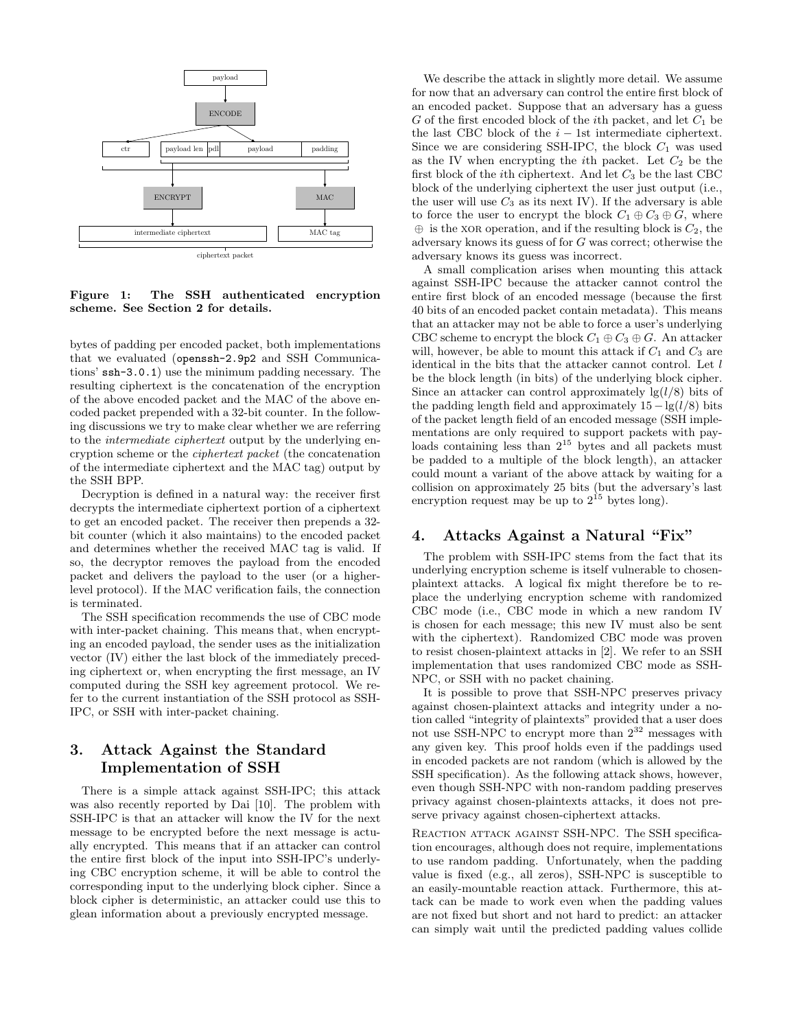

Figure 1: The SSH authenticated encryption scheme. See Section 2 for details.

bytes of padding per encoded packet, both implementations that we evaluated (openssh-2.9p2 and SSH Communications' ssh-3.0.1) use the minimum padding necessary. The resulting ciphertext is the concatenation of the encryption of the above encoded packet and the MAC of the above encoded packet prepended with a 32-bit counter. In the following discussions we try to make clear whether we are referring to the intermediate ciphertext output by the underlying encryption scheme or the ciphertext packet (the concatenation of the intermediate ciphertext and the MAC tag) output by the SSH BPP.

Decryption is defined in a natural way: the receiver first decrypts the intermediate ciphertext portion of a ciphertext to get an encoded packet. The receiver then prepends a 32 bit counter (which it also maintains) to the encoded packet and determines whether the received MAC tag is valid. If so, the decryptor removes the payload from the encoded packet and delivers the payload to the user (or a higherlevel protocol). If the MAC verification fails, the connection is terminated.

The SSH specification recommends the use of CBC mode with inter-packet chaining. This means that, when encrypting an encoded payload, the sender uses as the initialization vector (IV) either the last block of the immediately preceding ciphertext or, when encrypting the first message, an IV computed during the SSH key agreement protocol. We refer to the current instantiation of the SSH protocol as SSH-IPC, or SSH with inter-packet chaining.

# 3. Attack Against the Standard Implementation of SSH

There is a simple attack against SSH-IPC; this attack was also recently reported by Dai [10]. The problem with SSH-IPC is that an attacker will know the IV for the next message to be encrypted before the next message is actually encrypted. This means that if an attacker can control the entire first block of the input into SSH-IPC's underlying CBC encryption scheme, it will be able to control the corresponding input to the underlying block cipher. Since a block cipher is deterministic, an attacker could use this to glean information about a previously encrypted message.

We describe the attack in slightly more detail. We assume for now that an adversary can control the entire first block of an encoded packet. Suppose that an adversary has a guess  $G$  of the first encoded block of the *i*th packet, and let  $C_1$  be the last CBC block of the  $i - 1$ st intermediate ciphertext. Since we are considering SSH-IPC, the block  $C_1$  was used as the IV when encrypting the *i*th packet. Let  $C_2$  be the first block of the *i*th ciphertext. And let  $C_3$  be the last CBC block of the underlying ciphertext the user just output (i.e., the user will use  $C_3$  as its next IV). If the adversary is able to force the user to encrypt the block  $C_1 \oplus C_3 \oplus G$ , where  $\oplus$  is the xOR operation, and if the resulting block is  $C_2$ , the adversary knows its guess of for G was correct; otherwise the adversary knows its guess was incorrect.

A small complication arises when mounting this attack against SSH-IPC because the attacker cannot control the entire first block of an encoded message (because the first 40 bits of an encoded packet contain metadata). This means that an attacker may not be able to force a user's underlying CBC scheme to encrypt the block  $C_1 \oplus C_3 \oplus G$ . An attacker will, however, be able to mount this attack if  $C_1$  and  $C_3$  are identical in the bits that the attacker cannot control. Let  $l$ be the block length (in bits) of the underlying block cipher. Since an attacker can control approximately  $\lg(l/8)$  bits of the padding length field and approximately  $15 - \lg(l/8)$  bits of the packet length field of an encoded message (SSH implementations are only required to support packets with payloads containing less than  $2^{15}$  bytes and all packets must be padded to a multiple of the block length), an attacker could mount a variant of the above attack by waiting for a collision on approximately 25 bits (but the adversary's last encryption request may be up to  $2^{\hat{15}}$  bytes long).

# 4. Attacks Against a Natural "Fix"

The problem with SSH-IPC stems from the fact that its underlying encryption scheme is itself vulnerable to chosenplaintext attacks. A logical fix might therefore be to replace the underlying encryption scheme with randomized CBC mode (i.e., CBC mode in which a new random IV is chosen for each message; this new IV must also be sent with the ciphertext). Randomized CBC mode was proven to resist chosen-plaintext attacks in [2]. We refer to an SSH implementation that uses randomized CBC mode as SSH-NPC, or SSH with no packet chaining.

It is possible to prove that SSH-NPC preserves privacy against chosen-plaintext attacks and integrity under a notion called "integrity of plaintexts" provided that a user does not use SSH-NPC to encrypt more than  $2^{32}$  messages with any given key. This proof holds even if the paddings used in encoded packets are not random (which is allowed by the SSH specification). As the following attack shows, however, even though SSH-NPC with non-random padding preserves privacy against chosen-plaintexts attacks, it does not preserve privacy against chosen-ciphertext attacks.

Reaction attack against SSH-NPC. The SSH specification encourages, although does not require, implementations to use random padding. Unfortunately, when the padding value is fixed (e.g., all zeros), SSH-NPC is susceptible to an easily-mountable reaction attack. Furthermore, this attack can be made to work even when the padding values are not fixed but short and not hard to predict: an attacker can simply wait until the predicted padding values collide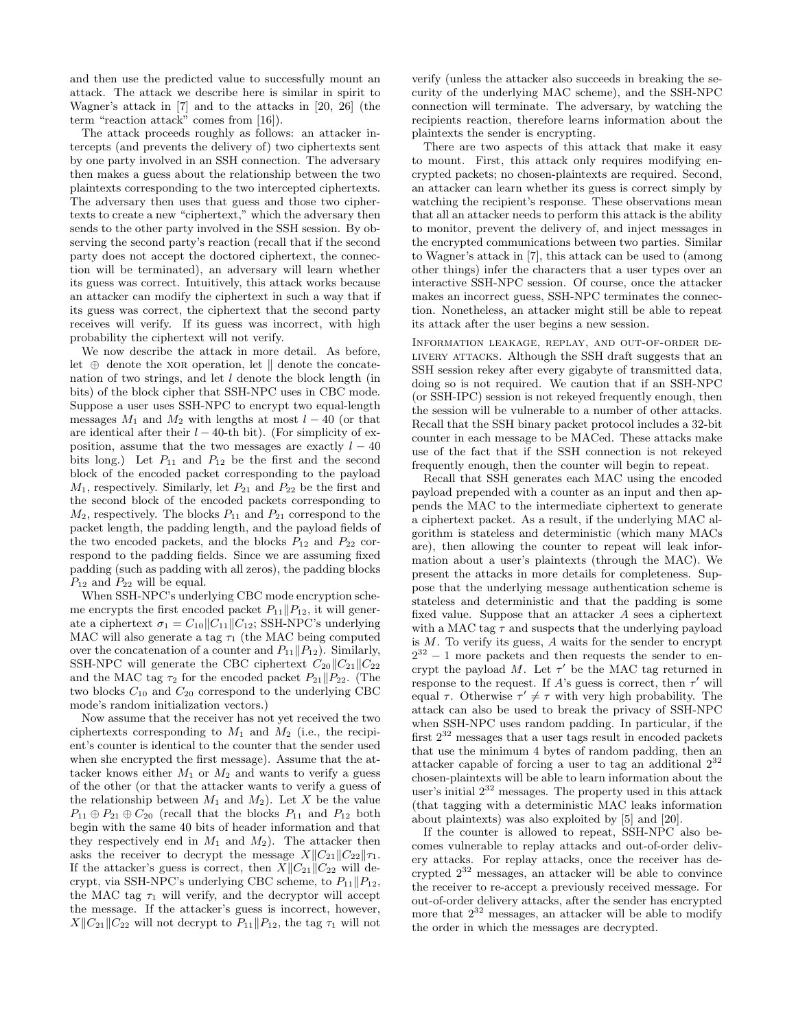and then use the predicted value to successfully mount an attack. The attack we describe here is similar in spirit to Wagner's attack in [7] and to the attacks in [20, 26] (the term "reaction attack" comes from [16]).

The attack proceeds roughly as follows: an attacker intercepts (and prevents the delivery of) two ciphertexts sent by one party involved in an SSH connection. The adversary then makes a guess about the relationship between the two plaintexts corresponding to the two intercepted ciphertexts. The adversary then uses that guess and those two ciphertexts to create a new "ciphertext," which the adversary then sends to the other party involved in the SSH session. By observing the second party's reaction (recall that if the second party does not accept the doctored ciphertext, the connection will be terminated), an adversary will learn whether its guess was correct. Intuitively, this attack works because an attacker can modify the ciphertext in such a way that if its guess was correct, the ciphertext that the second party receives will verify. If its guess was incorrect, with high probability the ciphertext will not verify.

We now describe the attack in more detail. As before, let  $\oplus$  denote the xor operation, let  $\parallel$  denote the concatenation of two strings, and let  $l$  denote the block length (in bits) of the block cipher that SSH-NPC uses in CBC mode. Suppose a user uses SSH-NPC to encrypt two equal-length messages  $M_1$  and  $M_2$  with lengths at most  $l - 40$  (or that are identical after their  $l - 40$ -th bit). (For simplicity of exposition, assume that the two messages are exactly  $l - 40$ bits long.) Let  $P_{11}$  and  $P_{12}$  be the first and the second block of the encoded packet corresponding to the payload  $M_1$ , respectively. Similarly, let  $P_{21}$  and  $P_{22}$  be the first and the second block of the encoded packets corresponding to  $M_2$ , respectively. The blocks  $P_{11}$  and  $P_{21}$  correspond to the packet length, the padding length, and the payload fields of the two encoded packets, and the blocks  $P_{12}$  and  $P_{22}$  correspond to the padding fields. Since we are assuming fixed padding (such as padding with all zeros), the padding blocks  $P_{12}$  and  $P_{22}$  will be equal.

When SSH-NPC's underlying CBC mode encryption scheme encrypts the first encoded packet  $P_{11}||P_{12}$ , it will generate a ciphertext  $\sigma_1 = C_{10} \|C_{11}\|C_{12}$ ; SSH-NPC's underlying MAC will also generate a tag  $\tau_1$  (the MAC being computed over the concatenation of a counter and  $P_{11}||P_{12}$ ). Similarly, SSH-NPC will generate the CBC ciphertext  $C_{20}||C_{21}||C_{22}$ and the MAC tag  $\tau_2$  for the encoded packet  $P_{21}||P_{22}$ . (The two blocks  $C_{10}$  and  $C_{20}$  correspond to the underlying CBC mode's random initialization vectors.)

Now assume that the receiver has not yet received the two ciphertexts corresponding to  $M_1$  and  $M_2$  (i.e., the recipient's counter is identical to the counter that the sender used when she encrypted the first message). Assume that the attacker knows either  $M_1$  or  $M_2$  and wants to verify a guess of the other (or that the attacker wants to verify a guess of the relationship between  $M_1$  and  $M_2$ ). Let X be the value  $P_{11} \oplus P_{21} \oplus C_{20}$  (recall that the blocks  $P_{11}$  and  $P_{12}$  both begin with the same 40 bits of header information and that they respectively end in  $M_1$  and  $M_2$ ). The attacker then asks the receiver to decrypt the message  $X||C_{21}||C_{22}||\tau_1$ . If the attacker's guess is correct, then  $X||C_{21}||C_{22}$  will decrypt, via SSH-NPC's underlying CBC scheme, to  $P_{11}||P_{12}$ , the MAC tag  $\tau_1$  will verify, and the decryptor will accept the message. If the attacker's guess is incorrect, however,  $X||C_{21}||C_{22}$  will not decrypt to  $P_{11}||P_{12}$ , the tag  $\tau_1$  will not verify (unless the attacker also succeeds in breaking the security of the underlying MAC scheme), and the SSH-NPC connection will terminate. The adversary, by watching the recipients reaction, therefore learns information about the plaintexts the sender is encrypting.

There are two aspects of this attack that make it easy to mount. First, this attack only requires modifying encrypted packets; no chosen-plaintexts are required. Second, an attacker can learn whether its guess is correct simply by watching the recipient's response. These observations mean that all an attacker needs to perform this attack is the ability to monitor, prevent the delivery of, and inject messages in the encrypted communications between two parties. Similar to Wagner's attack in [7], this attack can be used to (among other things) infer the characters that a user types over an interactive SSH-NPC session. Of course, once the attacker makes an incorrect guess, SSH-NPC terminates the connection. Nonetheless, an attacker might still be able to repeat its attack after the user begins a new session.

Information leakage, replay, and out-of-order delivery attacks. Although the SSH draft suggests that an SSH session rekey after every gigabyte of transmitted data, doing so is not required. We caution that if an SSH-NPC (or SSH-IPC) session is not rekeyed frequently enough, then the session will be vulnerable to a number of other attacks. Recall that the SSH binary packet protocol includes a 32-bit counter in each message to be MACed. These attacks make use of the fact that if the SSH connection is not rekeyed frequently enough, then the counter will begin to repeat.

Recall that SSH generates each MAC using the encoded payload prepended with a counter as an input and then appends the MAC to the intermediate ciphertext to generate a ciphertext packet. As a result, if the underlying MAC algorithm is stateless and deterministic (which many MACs are), then allowing the counter to repeat will leak information about a user's plaintexts (through the MAC). We present the attacks in more details for completeness. Suppose that the underlying message authentication scheme is stateless and deterministic and that the padding is some fixed value. Suppose that an attacker A sees a ciphertext with a MAC tag  $\tau$  and suspects that the underlying payload is  $M$ . To verify its guess,  $A$  waits for the sender to encrypt  $2^{32} - 1$  more packets and then requests the sender to encrypt the payload M. Let  $\tau'$  be the MAC tag returned in response to the request. If A's guess is correct, then  $\tau'$  will equal  $\tau$ . Otherwise  $\tau' \neq \tau$  with very high probability. The attack can also be used to break the privacy of SSH-NPC when SSH-NPC uses random padding. In particular, if the first  $2^{32}$  messages that a user tags result in encoded packets that use the minimum 4 bytes of random padding, then an attacker capable of forcing a user to tag an additional  $2^{32}$ chosen-plaintexts will be able to learn information about the user's initial  $2^{32}$  messages. The property used in this attack (that tagging with a deterministic MAC leaks information about plaintexts) was also exploited by [5] and [20].

If the counter is allowed to repeat, SSH-NPC also becomes vulnerable to replay attacks and out-of-order delivery attacks. For replay attacks, once the receiver has decrypted  $2^{32}$  messages, an attacker will be able to convince the receiver to re-accept a previously received message. For out-of-order delivery attacks, after the sender has encrypted more that  $2^{32}$  messages, an attacker will be able to modify the order in which the messages are decrypted.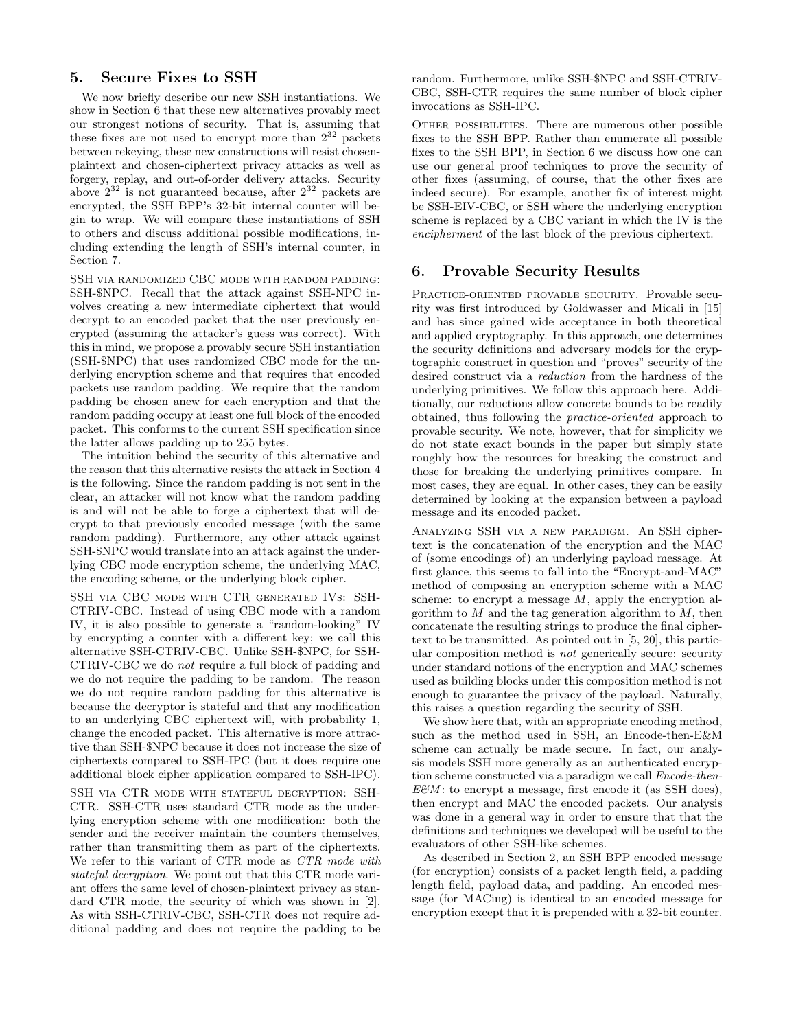# 5. Secure Fixes to SSH

We now briefly describe our new SSH instantiations. We show in Section 6 that these new alternatives provably meet our strongest notions of security. That is, assuming that these fixes are not used to encrypt more than  $2^{32}$  packets between rekeying, these new constructions will resist chosenplaintext and chosen-ciphertext privacy attacks as well as forgery, replay, and out-of-order delivery attacks. Security above  $2^{32}$  is not guaranteed because, after  $2^{32}$  packets are encrypted, the SSH BPP's 32-bit internal counter will begin to wrap. We will compare these instantiations of SSH to others and discuss additional possible modifications, including extending the length of SSH's internal counter, in Section 7.

SSH via randomized CBC mode with random padding: SSH-\$NPC. Recall that the attack against SSH-NPC involves creating a new intermediate ciphertext that would decrypt to an encoded packet that the user previously encrypted (assuming the attacker's guess was correct). With this in mind, we propose a provably secure SSH instantiation (SSH-\$NPC) that uses randomized CBC mode for the underlying encryption scheme and that requires that encoded packets use random padding. We require that the random padding be chosen anew for each encryption and that the random padding occupy at least one full block of the encoded packet. This conforms to the current SSH specification since the latter allows padding up to 255 bytes.

The intuition behind the security of this alternative and the reason that this alternative resists the attack in Section 4 is the following. Since the random padding is not sent in the clear, an attacker will not know what the random padding is and will not be able to forge a ciphertext that will decrypt to that previously encoded message (with the same random padding). Furthermore, any other attack against SSH-\$NPC would translate into an attack against the underlying CBC mode encryption scheme, the underlying MAC, the encoding scheme, or the underlying block cipher.

SSH via CBC mode with CTR generated IVs: SSH-CTRIV-CBC. Instead of using CBC mode with a random IV, it is also possible to generate a "random-looking" IV by encrypting a counter with a different key; we call this alternative SSH-CTRIV-CBC. Unlike SSH-\$NPC, for SSH-CTRIV-CBC we do not require a full block of padding and we do not require the padding to be random. The reason we do not require random padding for this alternative is because the decryptor is stateful and that any modification to an underlying CBC ciphertext will, with probability 1, change the encoded packet. This alternative is more attractive than SSH-\$NPC because it does not increase the size of ciphertexts compared to SSH-IPC (but it does require one additional block cipher application compared to SSH-IPC).

SSH via CTR mode with stateful decryption: SSH-CTR. SSH-CTR uses standard CTR mode as the underlying encryption scheme with one modification: both the sender and the receiver maintain the counters themselves, rather than transmitting them as part of the ciphertexts. We refer to this variant of CTR mode as CTR mode with stateful decryption. We point out that this CTR mode variant offers the same level of chosen-plaintext privacy as standard CTR mode, the security of which was shown in [2]. As with SSH-CTRIV-CBC, SSH-CTR does not require additional padding and does not require the padding to be random. Furthermore, unlike SSH-\$NPC and SSH-CTRIV-CBC, SSH-CTR requires the same number of block cipher invocations as SSH-IPC.

Other possibilities. There are numerous other possible fixes to the SSH BPP. Rather than enumerate all possible fixes to the SSH BPP, in Section 6 we discuss how one can use our general proof techniques to prove the security of other fixes (assuming, of course, that the other fixes are indeed secure). For example, another fix of interest might be SSH-EIV-CBC, or SSH where the underlying encryption scheme is replaced by a CBC variant in which the IV is the encipherment of the last block of the previous ciphertext.

## 6. Provable Security Results

Practice-oriented provable security. Provable security was first introduced by Goldwasser and Micali in [15] and has since gained wide acceptance in both theoretical and applied cryptography. In this approach, one determines the security definitions and adversary models for the cryptographic construct in question and "proves" security of the desired construct via a reduction from the hardness of the underlying primitives. We follow this approach here. Additionally, our reductions allow concrete bounds to be readily obtained, thus following the practice-oriented approach to provable security. We note, however, that for simplicity we do not state exact bounds in the paper but simply state roughly how the resources for breaking the construct and those for breaking the underlying primitives compare. In most cases, they are equal. In other cases, they can be easily determined by looking at the expansion between a payload message and its encoded packet.

Analyzing SSH via a new paradigm. An SSH ciphertext is the concatenation of the encryption and the MAC of (some encodings of) an underlying payload message. At first glance, this seems to fall into the "Encrypt-and-MAC" method of composing an encryption scheme with a MAC scheme: to encrypt a message  $M$ , apply the encryption algorithm to  $M$  and the tag generation algorithm to  $M$ , then concatenate the resulting strings to produce the final ciphertext to be transmitted. As pointed out in [5, 20], this particular composition method is not generically secure: security under standard notions of the encryption and MAC schemes used as building blocks under this composition method is not enough to guarantee the privacy of the payload. Naturally, this raises a question regarding the security of SSH.

We show here that, with an appropriate encoding method, such as the method used in SSH, an Encode-then-E&M scheme can actually be made secure. In fact, our analysis models SSH more generally as an authenticated encryption scheme constructed via a paradigm we call Encode-then- $EEM$ : to encrypt a message, first encode it (as SSH does), then encrypt and MAC the encoded packets. Our analysis was done in a general way in order to ensure that that the definitions and techniques we developed will be useful to the evaluators of other SSH-like schemes.

As described in Section 2, an SSH BPP encoded message (for encryption) consists of a packet length field, a padding length field, payload data, and padding. An encoded message (for MACing) is identical to an encoded message for encryption except that it is prepended with a 32-bit counter.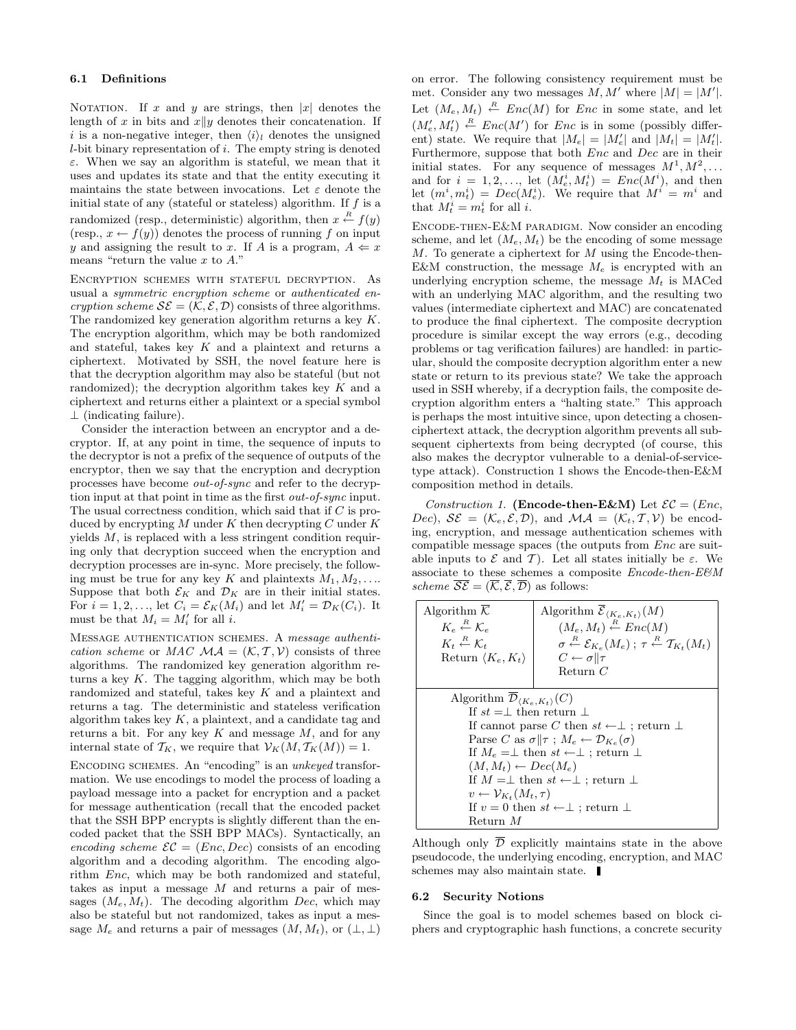#### 6.1 Definitions

NOTATION. If x and y are strings, then |x| denotes the length of x in bits and  $x||y$  denotes their concatenation. If i is a non-negative integer, then  $\langle i \rangle_l$  denotes the unsigned  $l$ -bit binary representation of i. The empty string is denoted  $\varepsilon$ . When we say an algorithm is stateful, we mean that it uses and updates its state and that the entity executing it maintains the state between invocations. Let  $\varepsilon$  denote the initial state of any (stateful or stateless) algorithm. If  $f$  is a randomized (resp., deterministic) algorithm, then  $x \stackrel{R}{\leftarrow} f(y)$ (resp.,  $x \leftarrow f(y)$ ) denotes the process of running f on input y and assigning the result to x. If A is a program,  $A \Leftarrow x$ means "return the value  $x$  to  $A$ ."

Encryption schemes with stateful decryption. As usual a symmetric encryption scheme or authenticated encryption scheme  $\mathcal{S}\mathcal{E} = (\mathcal{K}, \mathcal{E}, \mathcal{D})$  consists of three algorithms. The randomized key generation algorithm returns a key K. The encryption algorithm, which may be both randomized and stateful, takes key  $K$  and a plaintext and returns a ciphertext. Motivated by SSH, the novel feature here is that the decryption algorithm may also be stateful (but not randomized); the decryption algorithm takes key  $K$  and a ciphertext and returns either a plaintext or a special symbol  $\perp$  (indicating failure).

Consider the interaction between an encryptor and a decryptor. If, at any point in time, the sequence of inputs to the decryptor is not a prefix of the sequence of outputs of the encryptor, then we say that the encryption and decryption processes have become out-of-sync and refer to the decryption input at that point in time as the first out-of-sync input. The usual correctness condition, which said that if C is produced by encrypting  $M$  under  $K$  then decrypting  $C$  under  $K$ yields M, is replaced with a less stringent condition requiring only that decryption succeed when the encryption and decryption processes are in-sync. More precisely, the following must be true for any key K and plaintexts  $M_1, M_2, \ldots$ Suppose that both  $\mathcal{E}_K$  and  $\mathcal{D}_K$  are in their initial states. For  $i = 1, 2, \ldots$ , let  $C_i = \mathcal{E}_K(M_i)$  and let  $M'_i = \mathcal{D}_K(C_i)$ . It must be that  $M_i = M'_i$  for all i.

Message authentication schemes. A message authentication scheme or MAC  $MA = (K, T, V)$  consists of three algorithms. The randomized key generation algorithm returns a key  $K$ . The tagging algorithm, which may be both randomized and stateful, takes key K and a plaintext and returns a tag. The deterministic and stateless verification algorithm takes key  $K$ , a plaintext, and a candidate tag and returns a bit. For any key  $K$  and message  $M$ , and for any internal state of  $\mathcal{T}_K$ , we require that  $\mathcal{V}_K(M, \mathcal{T}_K(M)) = 1$ .

ENCODING SCHEMES. An "encoding" is an unkeyed transformation. We use encodings to model the process of loading a payload message into a packet for encryption and a packet for message authentication (recall that the encoded packet that the SSH BPP encrypts is slightly different than the encoded packet that the SSH BPP MACs). Syntactically, an encoding scheme  $\mathcal{EC} = (Enc, Dec)$  consists of an encoding algorithm and a decoding algorithm. The encoding algorithm Enc, which may be both randomized and stateful, takes as input a message  $M$  and returns a pair of messages  $(M_e, M_t)$ . The decoding algorithm Dec, which may also be stateful but not randomized, takes as input a message  $M_e$  and returns a pair of messages  $(M, M_t)$ , or  $(\perp, \perp)$ 

on error. The following consistency requirement must be met. Consider any two messages  $M, M'$  where  $|M| = |M'|$ . Let  $(M_e, M_t) \stackrel{R}{\leftarrow} Enc(M)$  for *Enc* in some state, and let  $(M'_e, M'_t) \stackrel{R}{\leftarrow} Enc(M')$  for *Enc* is in some (possibly different) state. We require that  $|M_e| = |M'_e|$  and  $|M_t| = |M'_t|$ . Furthermore, suppose that both Enc and Dec are in their initial states. For any sequence of messages  $M^1, M^2, \ldots$ and for  $i = 1, 2, \ldots$ , let  $(M_e^i, M_t^i) = Enc(M^i)$ , and then let  $(m^i, m_t^i) = Dec(M_e^i)$ . We require that  $M^i = m^i$  and that  $M_t^i = m_t^i$  for all i.

Encode-then-E&M paradigm. Now consider an encoding scheme, and let  $(M_e, M_t)$  be the encoding of some message  $M$ . To generate a ciphertext for  $M$  using the Encode-then-E&M construction, the message  $M_e$  is encrypted with an underlying encryption scheme, the message  $M_t$  is MACed with an underlying MAC algorithm, and the resulting two values (intermediate ciphertext and MAC) are concatenated to produce the final ciphertext. The composite decryption procedure is similar except the way errors (e.g., decoding problems or tag verification failures) are handled: in particular, should the composite decryption algorithm enter a new state or return to its previous state? We take the approach used in SSH whereby, if a decryption fails, the composite decryption algorithm enters a "halting state." This approach is perhaps the most intuitive since, upon detecting a chosenciphertext attack, the decryption algorithm prevents all subsequent ciphertexts from being decrypted (of course, this also makes the decryptor vulnerable to a denial-of-servicetype attack). Construction 1 shows the Encode-then-E&M composition method in details.

Construction 1. (Encode-then-E&M) Let  $\mathcal{EC} = (Enc,$ Dec),  $\mathcal{S}\mathcal{E} = (\mathcal{K}_e, \mathcal{E}, \mathcal{D})$ , and  $\mathcal{M}\mathcal{A} = (\mathcal{K}_t, \mathcal{T}, \mathcal{V})$  be encoding, encryption, and message authentication schemes with compatible message spaces (the outputs from Enc are suitable inputs to  $\mathcal E$  and  $\mathcal T$ ). Let all states initially be  $\varepsilon$ . We associate to these schemes a composite Encode-then-E&M scheme  $\overline{\mathcal{SE}} = (\overline{\mathcal{K}}, \overline{\mathcal{E}}, \overline{\mathcal{D}})$  as follows:

| Algorithm $K$                                                            | Algorithm $\overline{\mathcal{E}}_{\langle K_e, K_t \rangle}(M)$                                                  |
|--------------------------------------------------------------------------|-------------------------------------------------------------------------------------------------------------------|
| $K_e \stackrel{R}{\leftarrow} \mathcal{K}_e$                             | $(M_e, M_t) \stackrel{R}{\leftarrow} Enc(M)$                                                                      |
| $K_t \stackrel{R}{\leftarrow} \mathcal{K}_t$                             | $\sigma \stackrel{R}{\leftarrow} \mathcal{E}_{K_e}(M_e)$ ; $\tau \stackrel{R}{\leftarrow} \mathcal{T}_{K_t}(M_t)$ |
| Return $\langle K_e, K_t \rangle$                                        | $C \leftarrow \sigma    \tau$                                                                                     |
|                                                                          | Return $C$                                                                                                        |
|                                                                          |                                                                                                                   |
| Algorithm $\overline{\mathcal{D}}_{\langle K_e, K_t \rangle}(C)$         |                                                                                                                   |
| If $st = \perp$ then return $\perp$                                      |                                                                                                                   |
| If cannot parse C then $st \leftarrow \perp$ ; return $\perp$            |                                                                                                                   |
| Parse C as $\sigma    \tau$ ; $M_e \leftarrow \mathcal{D}_{K_e}(\sigma)$ |                                                                                                                   |
| If $M_e = \perp$ then $st \leftarrow \perp$ ; return $\perp$             |                                                                                                                   |
| $(M, M_t) \leftarrow Dec(M_e)$                                           |                                                                                                                   |
| If $M = \perp$ then $st \leftarrow \perp$ ; return $\perp$               |                                                                                                                   |
| $v \leftarrow \mathcal{V}_{K_t}(M_t, \tau)$                              |                                                                                                                   |
| If $v = 0$ then $st \leftarrow \perp$ ; return $\perp$                   |                                                                                                                   |
| $\mathrm{Return}~M$                                                      |                                                                                                                   |

Although only  $\overline{\mathcal{D}}$  explicitly maintains state in the above pseudocode, the underlying encoding, encryption, and MAC schemes may also maintain state.  $\blacksquare$ 

#### 6.2 Security Notions

Since the goal is to model schemes based on block ciphers and cryptographic hash functions, a concrete security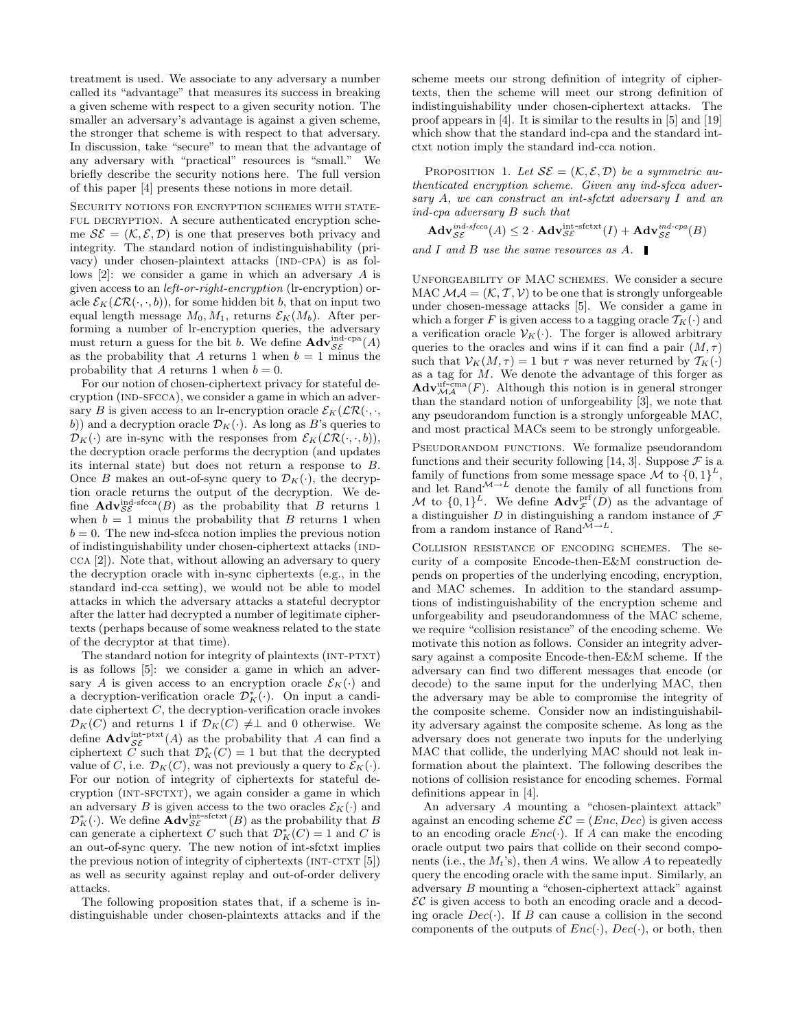treatment is used. We associate to any adversary a number called its "advantage" that measures its success in breaking a given scheme with respect to a given security notion. The smaller an adversary's advantage is against a given scheme, the stronger that scheme is with respect to that adversary. In discussion, take "secure" to mean that the advantage of any adversary with "practical" resources is "small." We briefly describe the security notions here. The full version of this paper [4] presents these notions in more detail.

SECURITY NOTIONS FOR ENCRYPTION SCHEMES WITH STATE-FUL DECRYPTION. A secure authenticated encryption scheme  $\mathcal{S}\mathcal{E} = (\mathcal{K}, \mathcal{E}, \mathcal{D})$  is one that preserves both privacy and integrity. The standard notion of indistinguishability (privacy) under chosen-plaintext attacks (IND-CPA) is as follows [2]: we consider a game in which an adversary A is given access to an left-or-right-encryption (lr-encryption) oracle  $\mathcal{E}_K(\mathcal{LR}(\cdot,\cdot,b))$ , for some hidden bit b, that on input two equal length message  $M_0, M_1$ , returns  $\mathcal{E}_K(M_b)$ . After performing a number of lr-encryption queries, the adversary must return a guess for the bit b. We define  $\mathbf{Adv}_{\mathcal{SE}}^{\text{ind-cpa}}(\tilde{A})$ as the probability that A returns 1 when  $b = 1$  minus the probability that A returns 1 when  $b = 0$ .

For our notion of chosen-ciphertext privacy for stateful decryption (ind-sfcca), we consider a game in which an adversary B is given access to an lr-encryption oracle  $\mathcal{E}_K(\mathcal{LR}(\cdot,\cdot))$ b)) and a decryption oracle  $\mathcal{D}_K(\cdot)$ . As long as B's queries to  $\mathcal{D}_K(\cdot)$  are in-sync with the responses from  $\mathcal{E}_K(\mathcal{LR}(\cdot,\cdot,b)),$ the decryption oracle performs the decryption (and updates its internal state) but does not return a response to B. Once B makes an out-of-sync query to  $\mathcal{D}_K(\cdot)$ , the decryption oracle returns the output of the decryption. We define  $\mathbf{Adv}_{\mathcal{SE}}^{\text{ind-sfcca}}(B)$  as the probability that B returns 1 when  $b = 1$  minus the probability that B returns 1 when  $b = 0$ . The new ind-sfcca notion implies the previous notion of indistinguishability under chosen-ciphertext attacks (indcca [2]). Note that, without allowing an adversary to query the decryption oracle with in-sync ciphertexts (e.g., in the standard ind-cca setting), we would not be able to model attacks in which the adversary attacks a stateful decryptor after the latter had decrypted a number of legitimate ciphertexts (perhaps because of some weakness related to the state of the decryptor at that time).

The standard notion for integrity of plaintexts (INT-PTXT) is as follows [5]: we consider a game in which an adversary A is given access to an encryption oracle  $\mathcal{E}_K(\cdot)$  and a decryption-verification oracle  $\mathcal{D}_K^*(\cdot)$ . On input a candidate ciphertext  $C$ , the decryption-verification oracle invokes  $\mathcal{D}_K(C)$  and returns 1 if  $\mathcal{D}_K(C) \neq \perp$  and 0 otherwise. We define  $\mathbf{Adv}_{\mathcal{SE}}^{\text{int-ptxt}}(A)$  as the probability that A can find a ciphertext C such that  $\mathcal{D}_K^*(C) = 1$  but that the decrypted value of C, i.e.  $\mathcal{D}_K(C)$ , was not previously a query to  $\mathcal{E}_K(\cdot)$ . For our notion of integrity of ciphertexts for stateful decryption (int-sfctxt), we again consider a game in which an adversary B is given access to the two oracles  $\mathcal{E}_K(\cdot)$  and  $\mathcal{D}_K^*(\cdot)$ . We define  $\mathbf{Adv}_{\mathcal{SE}}^{\text{int-strict}}(B)$  as the probability that B can generate a ciphertext C such that  $\mathcal{D}_K^*(C) = 1$  and C is an out-of-sync query. The new notion of int-sfctxt implies the previous notion of integrity of ciphertexts  $(INT-CTXT<sup>[5]</sup>)$ as well as security against replay and out-of-order delivery attacks.

The following proposition states that, if a scheme is indistinguishable under chosen-plaintexts attacks and if the scheme meets our strong definition of integrity of ciphertexts, then the scheme will meet our strong definition of indistinguishability under chosen-ciphertext attacks. The proof appears in [4]. It is similar to the results in [5] and [19] which show that the standard ind-cpa and the standard intctxt notion imply the standard ind-cca notion.

PROPOSITION 1. Let  $\mathcal{S}\mathcal{E} = (\mathcal{K}, \mathcal{E}, \mathcal{D})$  be a symmetric authenticated encryption scheme. Given any ind-sfcca adversary A, we can construct an int-sfctxt adversary I and an ind-cpa adversary B such that

$$
\mathbf{Adv}_{\mathcal{SE}}^{ind\text{-}sfcca}(A)\leq 2\cdot \mathbf{Adv}_{\mathcal{SE}}^{int\text{-}stext}(I)+\mathbf{Adv}_{\mathcal{SE}}^{ind\text{-}cpa}(B)
$$

and I and B use the same resources as  $A$ .

Unforgeability of MAC schemes. We consider a secure MAC  $MA = (K, T, V)$  to be one that is strongly unforgeable under chosen-message attacks [5]. We consider a game in which a forger F is given access to a tagging oracle  $T_K(\cdot)$  and a verification oracle  $\mathcal{V}_K(\cdot)$ . The forger is allowed arbitrary queries to the oracles and wins if it can find a pair  $(M, \tau)$ such that  $V_K(M, \tau) = 1$  but  $\tau$  was never returned by  $\mathcal{T}_K(\cdot)$ as a tag for M. We denote the advantage of this forger as  $\mathbf{Adv}_{\mathcal{MA}}^{\text{uf-cma}}(F)$ . Although this notion is in general stronger than the standard notion of unforgeability [3], we note that any pseudorandom function is a strongly unforgeable MAC, and most practical MACs seem to be strongly unforgeable.

PSEUDORANDOM FUNCTIONS. We formalize pseudorandom functions and their security following [14, 3]. Suppose  $\mathcal F$  is a family of functions from some message space  $\mathcal M$  to  $\{0,1\}^L$ , and let Rand $^{\mathcal{M}\rightarrow L}$  denote the family of all functions from M to  $\{0,1\}^L$ . We define  $\mathbf{Adv}_{\mathcal{F}}^{\text{prf}}(\tilde{D})$  as the advantage of a distinguisher  $D$  in distinguishing a random instance of  ${\mathcal F}$ from a random instance of Rand $^{\mathcal{M}\rightarrow L}$ .

Collision resistance of encoding schemes. The security of a composite Encode-then-E&M construction depends on properties of the underlying encoding, encryption, and MAC schemes. In addition to the standard assumptions of indistinguishability of the encryption scheme and unforgeability and pseudorandomness of the MAC scheme, we require "collision resistance" of the encoding scheme. We motivate this notion as follows. Consider an integrity adversary against a composite Encode-then-E&M scheme. If the adversary can find two different messages that encode (or decode) to the same input for the underlying MAC, then the adversary may be able to compromise the integrity of the composite scheme. Consider now an indistinguishability adversary against the composite scheme. As long as the adversary does not generate two inputs for the underlying MAC that collide, the underlying MAC should not leak information about the plaintext. The following describes the notions of collision resistance for encoding schemes. Formal definitions appear in [4].

An adversary A mounting a "chosen-plaintext attack" against an encoding scheme  $\mathcal{EC} = (Enc, Dec)$  is given access to an encoding oracle  $Enc(\cdot)$ . If A can make the encoding oracle output two pairs that collide on their second components (i.e., the  $M_t$ 's), then A wins. We allow A to repeatedly query the encoding oracle with the same input. Similarly, an adversary B mounting a "chosen-ciphertext attack" against  $\mathcal{EC}$  is given access to both an encoding oracle and a decoding oracle  $Dec(\cdot)$ . If B can cause a collision in the second components of the outputs of  $Enc(\cdot)$ ,  $Dec(\cdot)$ , or both, then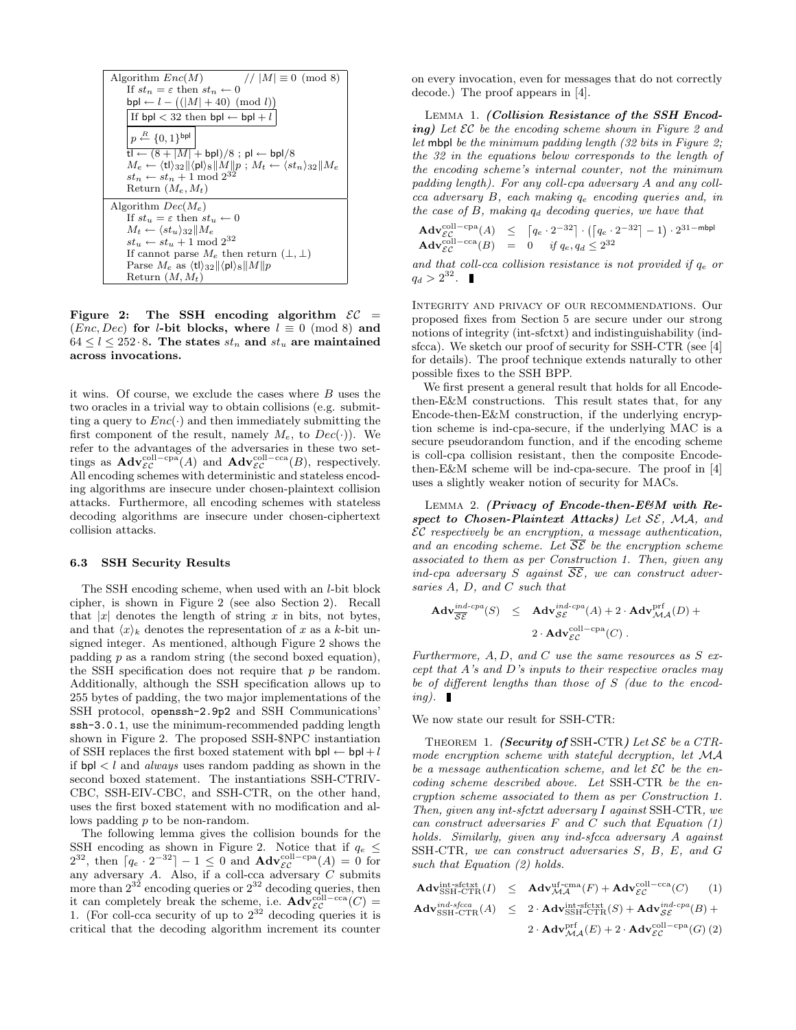| // $ M  \equiv 0 \pmod{8}$<br>Algorithm $Enc(M)$                                                                                        |  |
|-----------------------------------------------------------------------------------------------------------------------------------------|--|
| If $st_n = \varepsilon$ then $st_n \leftarrow 0$                                                                                        |  |
| $bpl \leftarrow l - (( M  + 40) \pmod{l}$                                                                                               |  |
| If bpl $<$ 32 then bpl $\leftarrow$ bpl + l                                                                                             |  |
| $p \stackrel{R}{\leftarrow} \{0,1\}^{\text{bpl}}$                                                                                       |  |
| $\overline{\text{tl} \leftarrow (8 +  M  + \text{bpl})/8}$ ; pl $\leftarrow$ bpl/8                                                      |  |
| $M_e \leftarrow \langle \text{tl} \rangle_{32}   \langle \text{pl} \rangle_8   M  p$ ; $M_t \leftarrow \langle st_n \rangle_{32}   M_e$ |  |
| $st_n \leftarrow st_n + 1 \mod 2^{32}$                                                                                                  |  |
| Return $(M_e, M_t)$                                                                                                                     |  |
| Algorithm $Dec(M_e)$                                                                                                                    |  |
| If $st_u = \varepsilon$ then $st_u \leftarrow 0$                                                                                        |  |
| $M_t \leftarrow \langle s t_u \rangle_{32}    M_e$                                                                                      |  |
| $st_u \leftarrow st_u + 1 \mod 2^{32}$                                                                                                  |  |
| If cannot parse $M_e$ then return $(\perp, \perp)$                                                                                      |  |
| Parse $M_e$ as $\langle \mathsf{t} \mathsf{l} \rangle_{32} \  \langle \mathsf{p} \mathsf{l} \rangle_{8} \  M \  p$                      |  |
| Return $(M, M_t)$                                                                                                                       |  |

Figure 2: The SSH encoding algorithm  $EC =$ (*Enc*, *Dec*) for *l*-bit blocks, where  $l \equiv 0 \pmod{8}$  and  $64 \leq l \leq 252 \cdot 8$ . The states  $st_n$  and  $st_u$  are maintained across invocations.

it wins. Of course, we exclude the cases where  $B$  uses the two oracles in a trivial way to obtain collisions (e.g. submitting a query to  $Enc(\cdot)$  and then immediately submitting the first component of the result, namely  $M_e$ , to  $Dec(\cdot)$ ). We refer to the advantages of the adversaries in these two settings as  $\mathbf{Adv}_{\mathcal{EC}}^{\text{coll-cpa}}(A)$  and  $\mathbf{Adv}_{\mathcal{EC}}^{\text{coll-cca}}(B)$ , respectively. All encoding schemes with deterministic and stateless encoding algorithms are insecure under chosen-plaintext collision attacks. Furthermore, all encoding schemes with stateless decoding algorithms are insecure under chosen-ciphertext collision attacks.

#### 6.3 SSH Security Results

The SSH encoding scheme, when used with an l-bit block cipher, is shown in Figure 2 (see also Section 2). Recall that  $|x|$  denotes the length of string x in bits, not bytes, and that  $\langle x \rangle_k$  denotes the representation of x as a k-bit unsigned integer. As mentioned, although Figure 2 shows the padding  $p$  as a random string (the second boxed equation), the SSH specification does not require that  $p$  be random. Additionally, although the SSH specification allows up to 255 bytes of padding, the two major implementations of the SSH protocol, openssh-2.9p2 and SSH Communications' ssh-3.0.1, use the minimum-recommended padding length shown in Figure 2. The proposed SSH-\$NPC instantiation of SSH replaces the first boxed statement with  $bp \leftarrow bp + l$ if  $bpl < l$  and *always* uses random padding as shown in the second boxed statement. The instantiations SSH-CTRIV-CBC, SSH-EIV-CBC, and SSH-CTR, on the other hand, uses the first boxed statement with no modification and allows padding p to be non-random.

The following lemma gives the collision bounds for the SSH encoding as shown in Figure 2. Notice that if  $q_e \leq$  $2^{32}$ , then  $\lceil q_e \cdot 2^{-32} \rceil - 1 \leq 0$  and  $\mathbf{Adv}_{\mathcal{EC}}^{\text{coll-cpa}}(A) = 0$  for any adversary  $A$ . Also, if a coll-cca adversary  $C$  submits more than  $2^{32}$  encoding queries or  $2^{32}$  decoding queries, then it can completely break the scheme, i.e.  $\mathbf{Adv}_{\mathcal{EC}}^{\text{coll--}\text{cca}}(C) =$ 1. (For coll-cca security of up to  $2^{32}$  decoding queries it is critical that the decoding algorithm increment its counter

on every invocation, even for messages that do not correctly decode.) The proof appears in [4].

LEMMA 1. (Collision Resistance of the SSH Encoding) Let  $\mathcal{EC}$  be the encoding scheme shown in Figure 2 and let mbpl be the minimum padding length (32 bits in Figure 2; the 32 in the equations below corresponds to the length of the encoding scheme's internal counter, not the minimum padding length). For any coll-cpa adversary A and any collcca adversary  $B$ , each making  $q_e$  encoding queries and, in the case of  $B$ , making  $q_d$  decoding queries, we have that

$$
\begin{array}{lcl} \mathbf{Adv}_{\mathcal{EC}}^{\mathrm{coll-cpa}}(A) & \leq & \left\lceil q_e \cdot 2^{-32} \right\rceil \cdot \left( \left\lceil q_e \cdot 2^{-32} \right\rceil -1 \right) \cdot 2^{31-\mathsf{mbpl}} \\ \mathbf{Adv}_{\mathcal{EC}}^{\mathrm{coll-cca}}(B) & = & 0 \quad \textit{if } q_e, q_d \leq 2^{32} \end{array}
$$

and that coll-cca collision resistance is not provided if  $q_e$  or  $q_d > 2^{32}$ .

Integrity and privacy of our recommendations. Our proposed fixes from Section 5 are secure under our strong notions of integrity (int-sfctxt) and indistinguishability (indsfcca). We sketch our proof of security for SSH-CTR (see [4] for details). The proof technique extends naturally to other possible fixes to the SSH BPP.

We first present a general result that holds for all Encodethen-E&M constructions. This result states that, for any Encode-then-E&M construction, if the underlying encryption scheme is ind-cpa-secure, if the underlying MAC is a secure pseudorandom function, and if the encoding scheme is coll-cpa collision resistant, then the composite Encodethen-E&M scheme will be ind-cpa-secure. The proof in [4] uses a slightly weaker notion of security for MACs.

LEMMA 2. (Privacy of Encode-then-E&M with Respect to Chosen-Plaintext Attacks) Let  $SE$ , MA, and  $EC$  respectively be an encryption, a message authentication, and an encoding scheme. Let  $\overline{\mathcal{SE}}$  be the encryption scheme associated to them as per Construction 1. Then, given any ind-cpa adversary S against  $\overline{\mathcal{SE}}$ , we can construct adversaries A, D, and C such that

$$
\begin{array}{rcl}\n\mathbf{Adv}_{\overline{\mathcal{SE}}}^{ind\text{-}cpa}(S) & \leq & \mathbf{Adv}_{\mathcal{SE}}^{ind\text{-}cpa}(A) + 2\cdot \mathbf{Adv}_{\mathcal{MA}}^{prf}(D) + \\
& & 2\cdot \mathbf{Adv}_{\mathcal{EC}}^{coll\text{-}cpa}(C)\n\end{array}.
$$

Furthermore,  $A, D, and C$  use the same resources as S except that A's and D's inputs to their respective oracles may be of different lengths than those of S (due to the encod $inq$ ).

We now state our result for SSH-CTR:

THEOREM 1. (Security of SSH-CTR) Let  $S\mathcal{E}$  be a CTRmode encryption scheme with stateful decryption, let MA be a message authentication scheme, and let  $\mathcal{EC}$  be the encoding scheme described above. Let SSH-CTR be the encryption scheme associated to them as per Construction 1. Then, given any int-sfctxt adversary I against SSH-CTR, we can construct adversaries  $F$  and  $C$  such that Equation  $(1)$ holds. Similarly, given any ind-sfcca adversary A against SSH-CTR, we can construct adversaries S, B, E, and G such that Equation  $(2)$  holds.

$$
\begin{array}{rcl} \mathbf{Adv}_{\mathrm{SSH-CTR}}^{\mathrm{int}\text{-}sfctx}(I) & \leq & \mathbf{Adv}_{\mathcal{MA}}^{\mathrm{uf-cma}}(F) + \mathbf{Adv}_{\mathcal{EC}}^{\mathrm{coll-}cca}(C) \qquad (1) \\ \mathbf{Adv}_{\mathrm{SSH-CTR}}^{\mathrm{ind}\text{-}sfca}(A) & \leq & 2 \cdot \mathbf{Adv}_{\mathrm{SSH-CTR}}^{\mathrm{int}\text{-}crR}(S) + \mathbf{Adv}_{\mathcal{SE}}^{\mathrm{ind}\text{-}cpa}(B) + \\ & & 2 \cdot \mathbf{Adv}_{\mathcal{MA}}^{\mathrm{prf}}(E) + 2 \cdot \mathbf{Adv}_{\mathcal{EC}}^{\mathrm{coll-cpa}}(G) \ (2) \end{array}
$$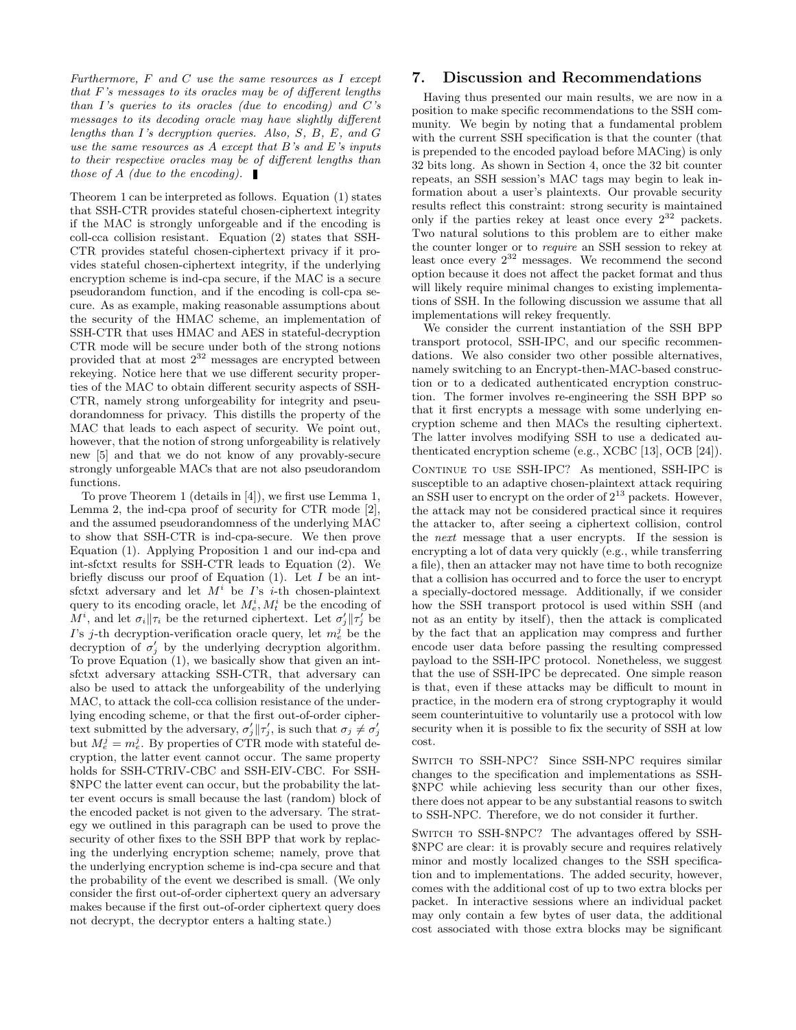Furthermore,  $F$  and  $C$  use the same resources as  $I$  except that  $F$ 's messages to its oracles may be of different lengths than  $I$ 's queries to its oracles (due to encoding) and  $C$ 's messages to its decoding oracle may have slightly different lengths than I's decryption queries. Also, S, B, E, and G use the same resources as  $A$  except that  $B$ 's and  $E$ 's inputs to their respective oracles may be of different lengths than those of A (due to the encoding).  $\blacksquare$ 

Theorem 1 can be interpreted as follows. Equation (1) states that SSH-CTR provides stateful chosen-ciphertext integrity if the MAC is strongly unforgeable and if the encoding is coll-cca collision resistant. Equation (2) states that SSH-CTR provides stateful chosen-ciphertext privacy if it provides stateful chosen-ciphertext integrity, if the underlying encryption scheme is ind-cpa secure, if the MAC is a secure pseudorandom function, and if the encoding is coll-cpa secure. As as example, making reasonable assumptions about the security of the HMAC scheme, an implementation of SSH-CTR that uses HMAC and AES in stateful-decryption CTR mode will be secure under both of the strong notions provided that at most  $2^{32}$  messages are encrypted between rekeying. Notice here that we use different security properties of the MAC to obtain different security aspects of SSH-CTR, namely strong unforgeability for integrity and pseudorandomness for privacy. This distills the property of the MAC that leads to each aspect of security. We point out, however, that the notion of strong unforgeability is relatively new [5] and that we do not know of any provably-secure strongly unforgeable MACs that are not also pseudorandom functions.

To prove Theorem 1 (details in [4]), we first use Lemma 1, Lemma 2, the ind-cpa proof of security for CTR mode [2], and the assumed pseudorandomness of the underlying MAC to show that SSH-CTR is ind-cpa-secure. We then prove Equation (1). Applying Proposition 1 and our ind-cpa and int-sfctxt results for SSH-CTR leads to Equation (2). We briefly discuss our proof of Equation  $(1)$ . Let I be an intsfctxt adversary and let  $M^i$  be I's *i*-th chosen-plaintext query to its encoding oracle, let  $M_e^i, M_t^i$  be the encoding of  $M^i$ , and let  $\sigma_i$ || $\tau_i$  be the returned ciphertext. Let  $\sigma'_j$ || $\tau'_j$  be I's j-th decryption-verification oracle query, let  $m_e^j$  be the decryption of  $\sigma'_j$  by the underlying decryption algorithm. To prove Equation (1), we basically show that given an intsfctxt adversary attacking SSH-CTR, that adversary can also be used to attack the unforgeability of the underlying MAC, to attack the coll-cca collision resistance of the underlying encoding scheme, or that the first out-of-order ciphertext submitted by the adversary,  $\sigma'_j || \tau'_j$ , is such that  $\sigma_j \neq \sigma'_j$ but  $M_e^j = m_e^j$ . By properties of CTR mode with stateful decryption, the latter event cannot occur. The same property holds for SSH-CTRIV-CBC and SSH-EIV-CBC. For SSH- \$NPC the latter event can occur, but the probability the latter event occurs is small because the last (random) block of the encoded packet is not given to the adversary. The strategy we outlined in this paragraph can be used to prove the security of other fixes to the SSH BPP that work by replacing the underlying encryption scheme; namely, prove that the underlying encryption scheme is ind-cpa secure and that the probability of the event we described is small. (We only consider the first out-of-order ciphertext query an adversary makes because if the first out-of-order ciphertext query does not decrypt, the decryptor enters a halting state.)

#### 7. Discussion and Recommendations

Having thus presented our main results, we are now in a position to make specific recommendations to the SSH community. We begin by noting that a fundamental problem with the current SSH specification is that the counter (that is prepended to the encoded payload before MACing) is only 32 bits long. As shown in Section 4, once the 32 bit counter repeats, an SSH session's MAC tags may begin to leak information about a user's plaintexts. Our provable security results reflect this constraint: strong security is maintained only if the parties rekey at least once every  $2^{32}$  packets. Two natural solutions to this problem are to either make the counter longer or to require an SSH session to rekey at least once every  $2^{32}$  messages. We recommend the second option because it does not affect the packet format and thus will likely require minimal changes to existing implementations of SSH. In the following discussion we assume that all implementations will rekey frequently.

We consider the current instantiation of the SSH BPP transport protocol, SSH-IPC, and our specific recommendations. We also consider two other possible alternatives, namely switching to an Encrypt-then-MAC-based construction or to a dedicated authenticated encryption construction. The former involves re-engineering the SSH BPP so that it first encrypts a message with some underlying encryption scheme and then MACs the resulting ciphertext. The latter involves modifying SSH to use a dedicated authenticated encryption scheme (e.g., XCBC [13], OCB [24]).

CONTINUE TO USE SSH-IPC? As mentioned, SSH-IPC is susceptible to an adaptive chosen-plaintext attack requiring an SSH user to encrypt on the order of  $2^{13}$  packets. However, the attack may not be considered practical since it requires the attacker to, after seeing a ciphertext collision, control the next message that a user encrypts. If the session is encrypting a lot of data very quickly (e.g., while transferring a file), then an attacker may not have time to both recognize that a collision has occurred and to force the user to encrypt a specially-doctored message. Additionally, if we consider how the SSH transport protocol is used within SSH (and not as an entity by itself), then the attack is complicated by the fact that an application may compress and further encode user data before passing the resulting compressed payload to the SSH-IPC protocol. Nonetheless, we suggest that the use of SSH-IPC be deprecated. One simple reason is that, even if these attacks may be difficult to mount in practice, in the modern era of strong cryptography it would seem counterintuitive to voluntarily use a protocol with low security when it is possible to fix the security of SSH at low cost.

SWITCH TO SSH-NPC? Since SSH-NPC requires similar changes to the specification and implementations as SSH- \$NPC while achieving less security than our other fixes, there does not appear to be any substantial reasons to switch to SSH-NPC. Therefore, we do not consider it further.

SWITCH TO SSH-\$NPC? The advantages offered by SSH-\$NPC are clear: it is provably secure and requires relatively minor and mostly localized changes to the SSH specification and to implementations. The added security, however, comes with the additional cost of up to two extra blocks per packet. In interactive sessions where an individual packet may only contain a few bytes of user data, the additional cost associated with those extra blocks may be significant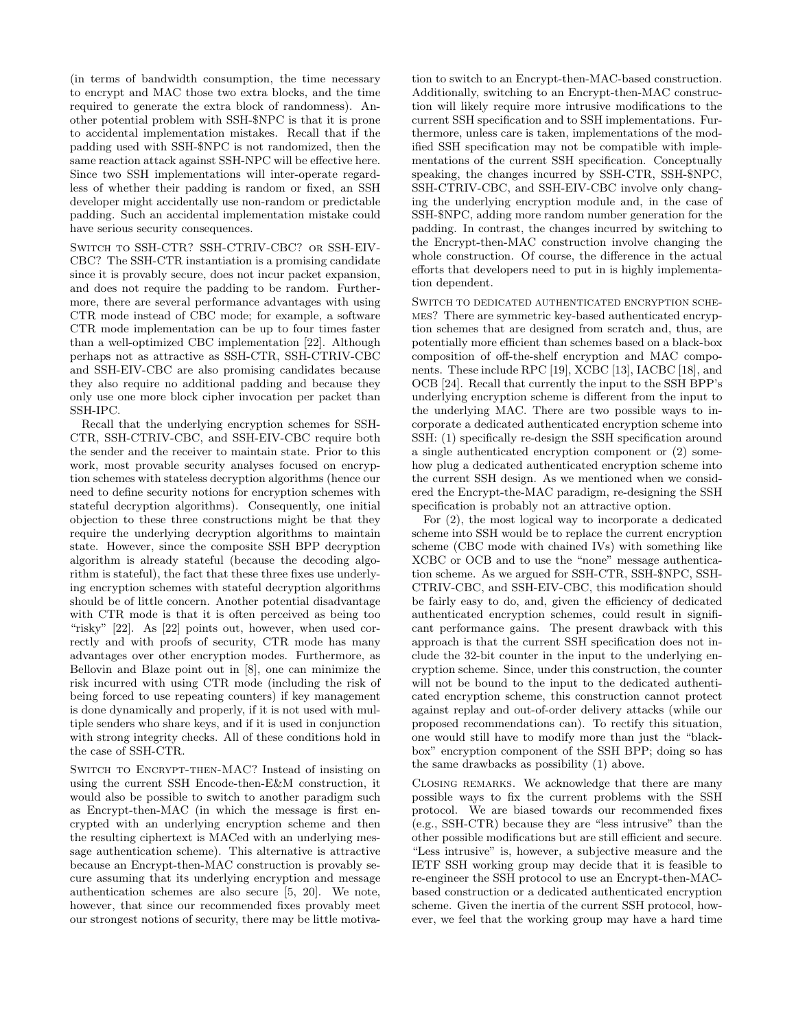(in terms of bandwidth consumption, the time necessary to encrypt and MAC those two extra blocks, and the time required to generate the extra block of randomness). Another potential problem with SSH-\$NPC is that it is prone to accidental implementation mistakes. Recall that if the padding used with SSH-\$NPC is not randomized, then the same reaction attack against SSH-NPC will be effective here. Since two SSH implementations will inter-operate regardless of whether their padding is random or fixed, an SSH developer might accidentally use non-random or predictable padding. Such an accidental implementation mistake could have serious security consequences.

Switch to SSH-CTR? SSH-CTRIV-CBC? or SSH-EIV-CBC? The SSH-CTR instantiation is a promising candidate since it is provably secure, does not incur packet expansion, and does not require the padding to be random. Furthermore, there are several performance advantages with using CTR mode instead of CBC mode; for example, a software CTR mode implementation can be up to four times faster than a well-optimized CBC implementation [22]. Although perhaps not as attractive as SSH-CTR, SSH-CTRIV-CBC and SSH-EIV-CBC are also promising candidates because they also require no additional padding and because they only use one more block cipher invocation per packet than SSH-IPC.

Recall that the underlying encryption schemes for SSH-CTR, SSH-CTRIV-CBC, and SSH-EIV-CBC require both the sender and the receiver to maintain state. Prior to this work, most provable security analyses focused on encryption schemes with stateless decryption algorithms (hence our need to define security notions for encryption schemes with stateful decryption algorithms). Consequently, one initial objection to these three constructions might be that they require the underlying decryption algorithms to maintain state. However, since the composite SSH BPP decryption algorithm is already stateful (because the decoding algorithm is stateful), the fact that these three fixes use underlying encryption schemes with stateful decryption algorithms should be of little concern. Another potential disadvantage with CTR mode is that it is often perceived as being too "risky"  $[22]$ . As  $[22]$  points out, however, when used correctly and with proofs of security, CTR mode has many advantages over other encryption modes. Furthermore, as Bellovin and Blaze point out in [8], one can minimize the risk incurred with using CTR mode (including the risk of being forced to use repeating counters) if key management is done dynamically and properly, if it is not used with multiple senders who share keys, and if it is used in conjunction with strong integrity checks. All of these conditions hold in the case of SSH-CTR.

SWITCH TO ENCRYPT-THEN-MAC? Instead of insisting on using the current SSH Encode-then-E&M construction, it would also be possible to switch to another paradigm such as Encrypt-then-MAC (in which the message is first encrypted with an underlying encryption scheme and then the resulting ciphertext is MACed with an underlying message authentication scheme). This alternative is attractive because an Encrypt-then-MAC construction is provably secure assuming that its underlying encryption and message authentication schemes are also secure [5, 20]. We note, however, that since our recommended fixes provably meet our strongest notions of security, there may be little motivation to switch to an Encrypt-then-MAC-based construction. Additionally, switching to an Encrypt-then-MAC construction will likely require more intrusive modifications to the current SSH specification and to SSH implementations. Furthermore, unless care is taken, implementations of the modified SSH specification may not be compatible with implementations of the current SSH specification. Conceptually speaking, the changes incurred by SSH-CTR, SSH-\$NPC, SSH-CTRIV-CBC, and SSH-EIV-CBC involve only changing the underlying encryption module and, in the case of SSH-\$NPC, adding more random number generation for the padding. In contrast, the changes incurred by switching to the Encrypt-then-MAC construction involve changing the whole construction. Of course, the difference in the actual efforts that developers need to put in is highly implementation dependent.

Switch to dedicated authenticated encryption schemes? There are symmetric key-based authenticated encryption schemes that are designed from scratch and, thus, are potentially more efficient than schemes based on a black-box composition of off-the-shelf encryption and MAC components. These include RPC [19], XCBC [13], IACBC [18], and OCB [24]. Recall that currently the input to the SSH BPP's underlying encryption scheme is different from the input to the underlying MAC. There are two possible ways to incorporate a dedicated authenticated encryption scheme into SSH: (1) specifically re-design the SSH specification around a single authenticated encryption component or (2) somehow plug a dedicated authenticated encryption scheme into the current SSH design. As we mentioned when we considered the Encrypt-the-MAC paradigm, re-designing the SSH specification is probably not an attractive option.

For (2), the most logical way to incorporate a dedicated scheme into SSH would be to replace the current encryption scheme (CBC mode with chained IVs) with something like XCBC or OCB and to use the "none" message authentication scheme. As we argued for SSH-CTR, SSH-\$NPC, SSH-CTRIV-CBC, and SSH-EIV-CBC, this modification should be fairly easy to do, and, given the efficiency of dedicated authenticated encryption schemes, could result in significant performance gains. The present drawback with this approach is that the current SSH specification does not include the 32-bit counter in the input to the underlying encryption scheme. Since, under this construction, the counter will not be bound to the input to the dedicated authenticated encryption scheme, this construction cannot protect against replay and out-of-order delivery attacks (while our proposed recommendations can). To rectify this situation, one would still have to modify more than just the "blackbox" encryption component of the SSH BPP; doing so has the same drawbacks as possibility (1) above.

Closing remarks. We acknowledge that there are many possible ways to fix the current problems with the SSH protocol. We are biased towards our recommended fixes (e.g., SSH-CTR) because they are "less intrusive" than the other possible modifications but are still efficient and secure. "Less intrusive" is, however, a subjective measure and the IETF SSH working group may decide that it is feasible to re-engineer the SSH protocol to use an Encrypt-then-MACbased construction or a dedicated authenticated encryption scheme. Given the inertia of the current SSH protocol, however, we feel that the working group may have a hard time